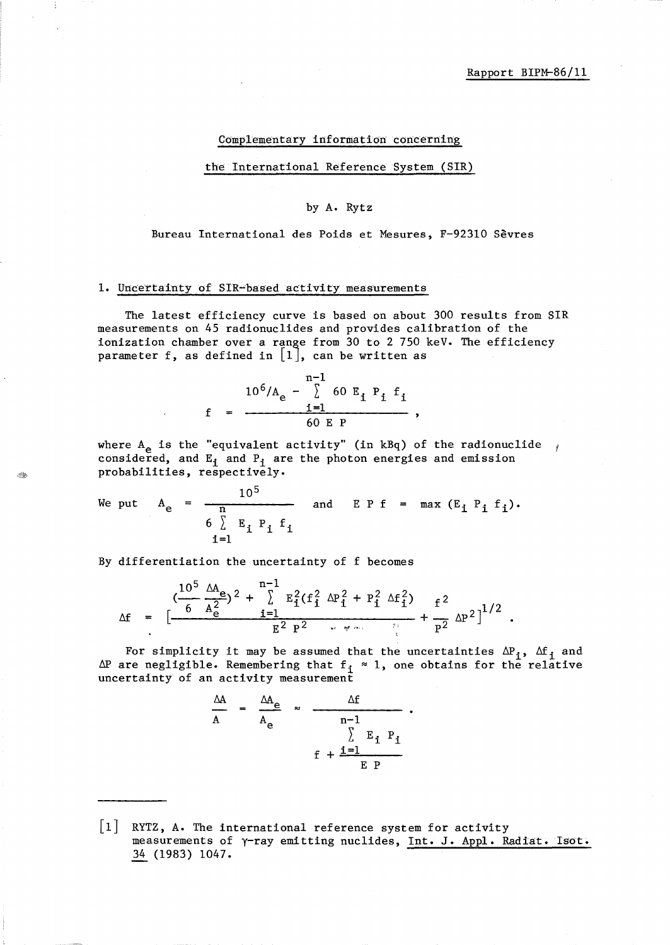### Complementary information concerning

the International Reference System (SIR)

# by A. Rytz

#### Bureau International des Poids et Mesures, F-92310 Sevres

## 1. Uncertainty of SIR-based activity measurements

The latest efficiency curve is based on about 300 results from SIR measurements on 45 radionuclides and provides calibration of the ionization chamber over a range from 30 to 2 750 keV. The efficiency parameter f, as defined in  $[1]$ , can be written as

$$
10^{6}/A_{e} - \sum_{i=1}^{n-1} 60 E_{i} P_{i} f_{i}
$$
  
f = 
$$
- \frac{i=1}{60 E P}
$$

where  $A_{e}$  is the "equivalent activity" (in kBq) of the radionuclide  $\gamma$ considered, and  $E_i$  and  $P_i$  are the photon energies and emission probabilities, respectively.

We put 
$$
A_e = \frac{10^5}{n}
$$
 and  $E P f = max (E_i P_i f_i)$ .  
\n
$$
\begin{array}{rcl}\n6 \sum E_i P_i f_i \\
i=1\n\end{array}
$$

By differentiation the uncertainty of f becomes

Â.

$$
\Delta f = \left[ \frac{10^5 \Delta A_e}{6 \text{ A}_e^2} \right)^2 + \sum_{i=1}^{n-1} E_i^2 (f_i^2 \Delta P_i^2 + P_i^2 \Delta f_i^2) + \frac{f^2}{P^2} \Delta P^2 \right]^{1/2}.
$$

For simplicity it may be assumed that the uncertainties  $\Delta P_i$ ,  $\Delta f_i$  and  $\Delta P$  are negligible. Remembering that  $f_i \approx 1$ , one obtains for the relative uncertainty of an activity measurement

$$
\frac{\Delta A}{A} = \frac{\Delta A_e}{A_e} \approx \frac{\Delta f}{n-1} \cdot \frac{F_i}{F_i P_i}
$$
\n
$$
f + \frac{i-1}{E P}
$$

<sup>|1|</sup> RYTZ, A. The international reference system for activity measurements of y-ray emi tting nuclides, Int. J. Appl. Radiat. **Isot.**  34 (1983) 1047.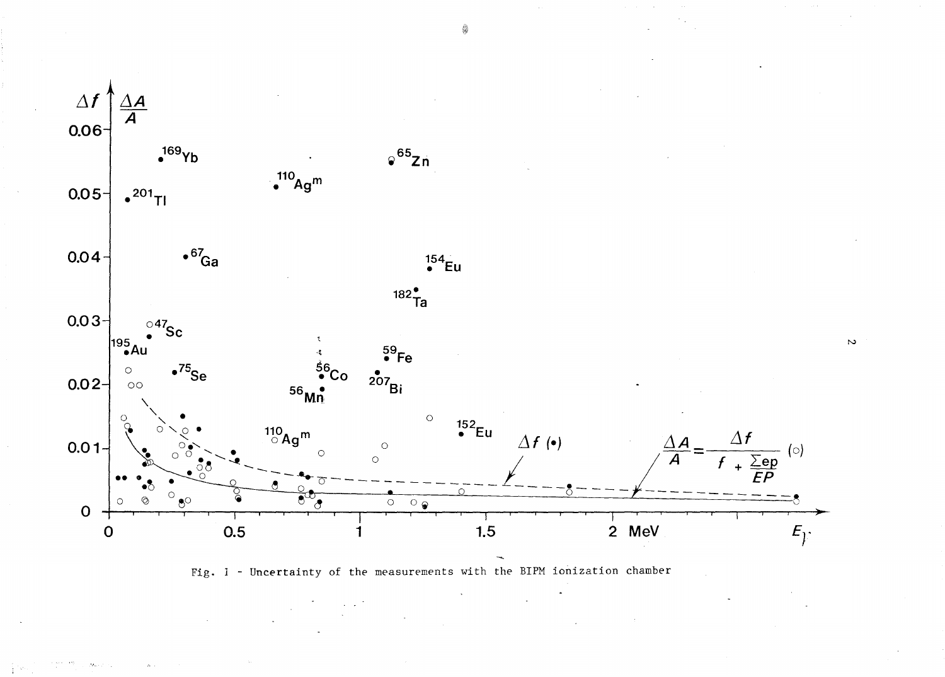

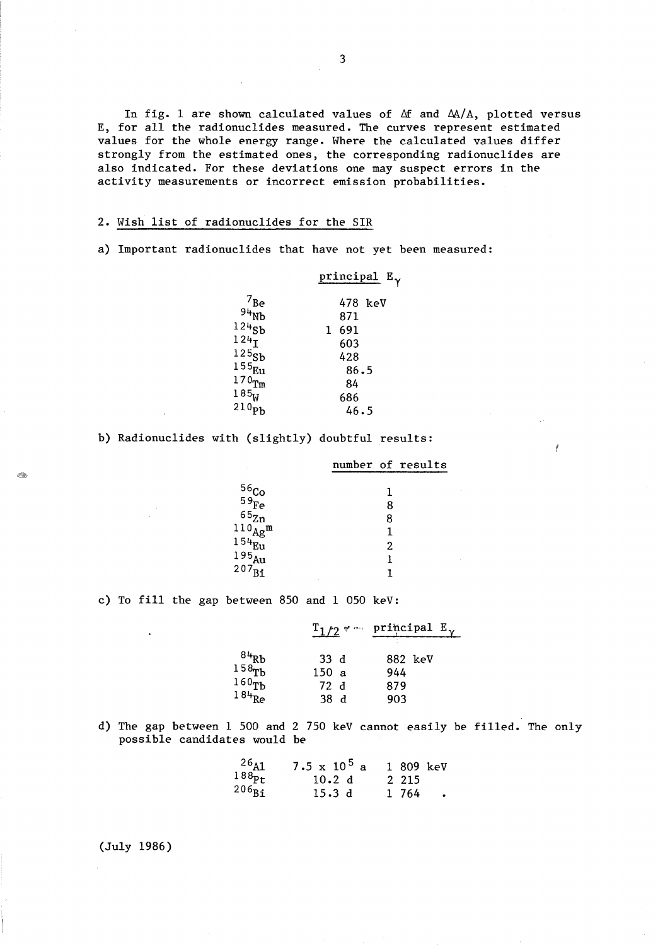In fig. 1 are shown calculated values of  $\Delta f$  and  $\Delta A/A$ , plotted versus E, for all the radionuc1ides measured. The curves represent estimated values for the whole energy range. Where the calculated values differ strongly from the estimated ones, the corresponding radionuclides are also indicated. For these deviations one may suspect errors in the activity measurements or incorrect emission probabilities.

## 2. Wish list of radionuc1ides for the SIR

a) Important radionuclides that have not yet been measured:

# principal  $E_{\gamma}$

| $7_{\text{Be}}$<br>$94\text{Nb}$<br>$124$ sb<br>124 <sub>T</sub><br>125 <sub>Sb</sub><br>$155_{Eu}$<br>$170$ Tm<br>185 <sub>W</sub> | 478 keV<br>871<br>691<br>1<br>603<br>428<br>86.5<br>84<br>686 |
|-------------------------------------------------------------------------------------------------------------------------------------|---------------------------------------------------------------|
| 210 <sub>pb</sub>                                                                                                                   |                                                               |
|                                                                                                                                     | 46.5                                                          |

b) Radionuc1ides with (slightly) doubtful results:

number of results

Ĭ

| $56Co59Fe$                   |   |
|------------------------------|---|
|                              | 8 |
| $65\overline{z_n}$           | 8 |
| $^{110}\text{Ag}^{\text{m}}$ |   |
| l 54 <sub>Eu</sub>           | 2 |
| 195 <sub>Au</sub>            |   |
| $207_{\rm Bi}$               |   |
|                              |   |

c) To fill the gap between 850 and 1 050 keV:

|                                         |                 | $T_1/2$ * m principal $E_v$ |  |
|-----------------------------------------|-----------------|-----------------------------|--|
|                                         |                 |                             |  |
| $\frac{84}{158}$<br>$158$ <sup>Tb</sup> | 33d             | 882 keV                     |  |
|                                         | 150a            | 944                         |  |
| 160 <sub>Tb</sub>                       | 72d             | 879                         |  |
| $184$ <sub>Re</sub>                     | 38 <sub>1</sub> | 903                         |  |

d) The gap between 1 500 and 2 750 keV cannot easily be filled. The only possible candidates would be

| $\begin{array}{c}\n 26 \text{Al} \\  188 \text{Pt}\n \end{array}$ | $7.5 \times 10^5$ a<br>10.2 d | 1 809 keV<br>2 2 1 5 |  |
|-------------------------------------------------------------------|-------------------------------|----------------------|--|
| $206_{\text{Bi}}$                                                 | 15.3d                         | 1 764                |  |

(July 1986)

<u>to</u>